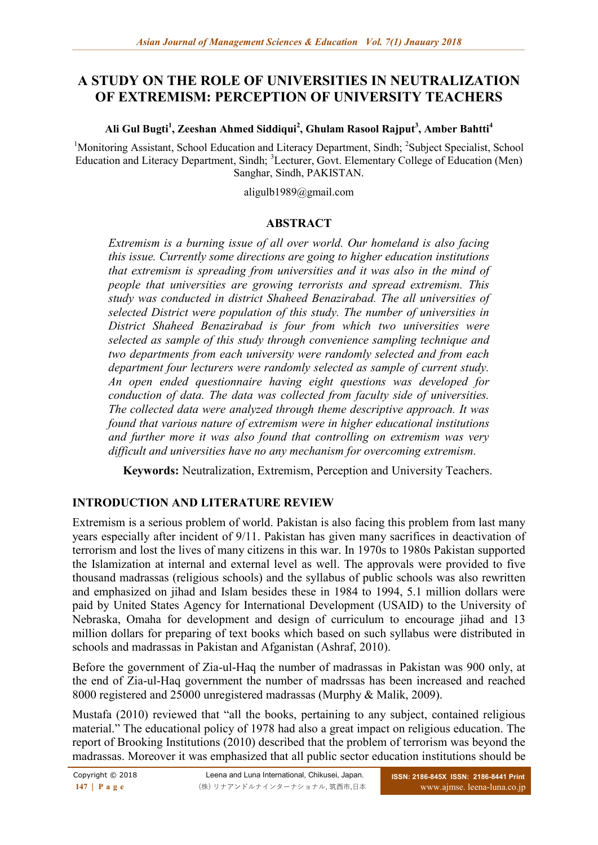# **A STUDY ON THE ROLE OF UNIVERSITIES IN NEUTRALIZATION OF EXTREMISM: PERCEPTION OF UNIVERSITY TEACHERS**

## **Ali Gul Bugti<sup>1</sup> , Zeeshan Ahmed Siddiqui<sup>2</sup> , Ghulam Rasool Rajput<sup>3</sup> , Amber Bahtti<sup>4</sup>**

<sup>1</sup>Monitoring Assistant, School Education and Literacy Department, Sindh; <sup>2</sup>Subject Specialist, School Education and Literacy Department, Sindh; <sup>3</sup>Lecturer, Govt. Elementary College of Education (Men) Sanghar, Sindh, PAKISTAN.

aligulb1989@gmail.com

#### **ABSTRACT**

*Extremism is a burning issue of all over world. Our homeland is also facing this issue. Currently some directions are going to higher education institutions that extremism is spreading from universities and it was also in the mind of people that universities are growing terrorists and spread extremism. This study was conducted in district Shaheed Benazirabad. The all universities of selected District were population of this study. The number of universities in District Shaheed Benazirabad is four from which two universities were selected as sample of this study through convenience sampling technique and two departments from each university were randomly selected and from each department four lecturers were randomly selected as sample of current study. An open ended questionnaire having eight questions was developed for conduction of data. The data was collected from faculty side of universities. The collected data were analyzed through theme descriptive approach. It was found that various nature of extremism were in higher educational institutions and further more it was also found that controlling on extremism was very difficult and universities have no any mechanism for overcoming extremism.* 

**Keywords:** Neutralization, Extremism, Perception and University Teachers.

## **INTRODUCTION AND LITERATURE REVIEW**

Extremism is a serious problem of world. Pakistan is also facing this problem from last many years especially after incident of 9/11. Pakistan has given many sacrifices in deactivation of terrorism and lost the lives of many citizens in this war. In 1970s to 1980s Pakistan supported the Islamization at internal and external level as well. The approvals were provided to five thousand madrassas (religious schools) and the syllabus of public schools was also rewritten and emphasized on jihad and Islam besides these in 1984 to 1994, 5.1 million dollars were paid by United States Agency for International Development (USAID) to the University of Nebraska, Omaha for development and design of curriculum to encourage jihad and 13 million dollars for preparing of text books which based on such syllabus were distributed in schools and madrassas in Pakistan and Afganistan (Ashraf, 2010).

Before the government of Zia-ul-Haq the number of madrassas in Pakistan was 900 only, at the end of Zia-ul-Haq government the number of madrssas has been increased and reached 8000 registered and 25000 unregistered madrassas (Murphy & Malik, 2009).

Mustafa (2010) reviewed that "all the books, pertaining to any subject, contained religious material." The educational policy of 1978 had also a great impact on religious education. The report of Brooking Institutions (2010) described that the problem of terrorism was beyond the madrassas. Moreover it was emphasized that all public sector education institutions should be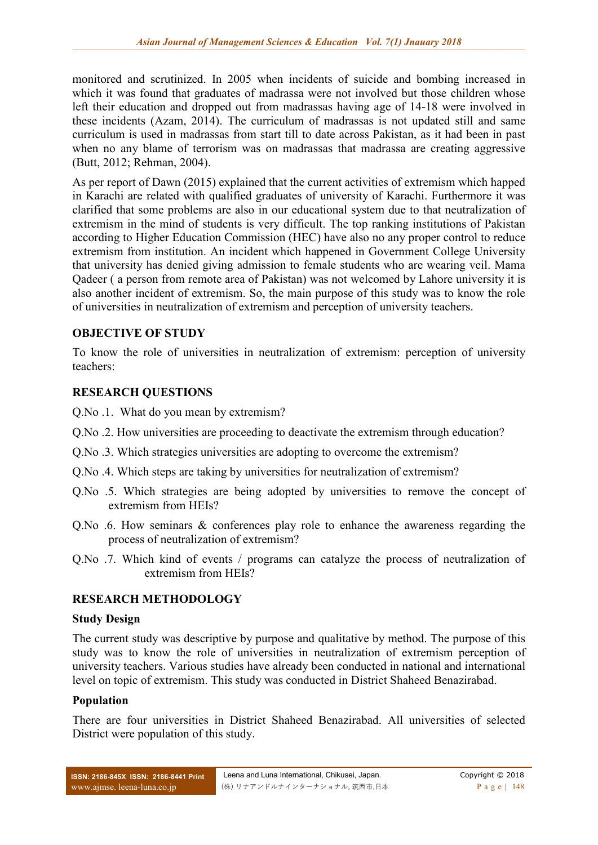monitored and scrutinized. In 2005 when incidents of suicide and bombing increased in which it was found that graduates of madrassa were not involved but those children whose left their education and dropped out from madrassas having age of 14-18 were involved in these incidents (Azam, 2014). The curriculum of madrassas is not updated still and same curriculum is used in madrassas from start till to date across Pakistan, as it had been in past when no any blame of terrorism was on madrassas that madrassa are creating aggressive (Butt, 2012; Rehman, 2004).

As per report of Dawn (2015) explained that the current activities of extremism which happed in Karachi are related with qualified graduates of university of Karachi. Furthermore it was clarified that some problems are also in our educational system due to that neutralization of extremism in the mind of students is very difficult. The top ranking institutions of Pakistan according to Higher Education Commission (HEC) have also no any proper control to reduce extremism from institution. An incident which happened in Government College University that university has denied giving admission to female students who are wearing veil. Mama Qadeer ( a person from remote area of Pakistan) was not welcomed by Lahore university it is also another incident of extremism. So, the main purpose of this study was to know the role of universities in neutralization of extremism and perception of university teachers.

#### **OBJECTIVE OF STUDY**

To know the role of universities in neutralization of extremism: perception of university teachers:

#### **RESEARCH QUESTIONS**

- Q.No .1. What do you mean by extremism?
- Q.No .2. How universities are proceeding to deactivate the extremism through education?
- Q.No .3. Which strategies universities are adopting to overcome the extremism?
- Q.No .4. Which steps are taking by universities for neutralization of extremism?
- Q.No .5. Which strategies are being adopted by universities to remove the concept of extremism from HEIs?
- Q.No .6. How seminars & conferences play role to enhance the awareness regarding the process of neutralization of extremism?
- Q.No .7. Which kind of events / programs can catalyze the process of neutralization of extremism from HEIs?

## **RESEARCH METHODOLOGY**

#### **Study Design**

The current study was descriptive by purpose and qualitative by method. The purpose of this study was to know the role of universities in neutralization of extremism perception of university teachers. Various studies have already been conducted in national and international level on topic of extremism. This study was conducted in District Shaheed Benazirabad.

#### **Population**

There are four universities in District Shaheed Benazirabad. All universities of selected District were population of this study.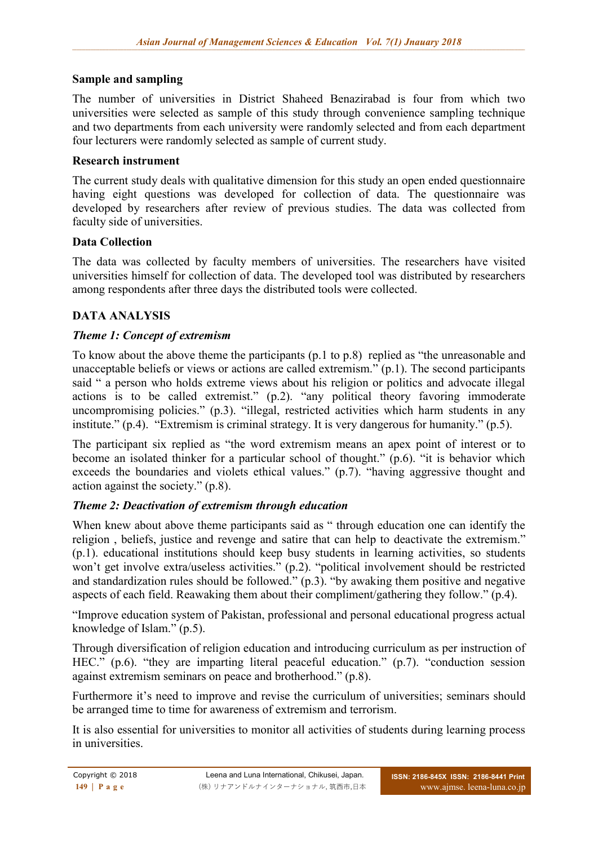## **Sample and sampling**

The number of universities in District Shaheed Benazirabad is four from which two universities were selected as sample of this study through convenience sampling technique and two departments from each university were randomly selected and from each department four lecturers were randomly selected as sample of current study.

## **Research instrument**

The current study deals with qualitative dimension for this study an open ended questionnaire having eight questions was developed for collection of data. The questionnaire was developed by researchers after review of previous studies. The data was collected from faculty side of universities.

## **Data Collection**

The data was collected by faculty members of universities. The researchers have visited universities himself for collection of data. The developed tool was distributed by researchers among respondents after three days the distributed tools were collected.

## **DATA ANALYSIS**

## *Theme 1: Concept of extremism*

To know about the above theme the participants (p.1 to p.8) replied as "the unreasonable and unacceptable beliefs or views or actions are called extremism." (p.1). The second participants said " a person who holds extreme views about his religion or politics and advocate illegal actions is to be called extremist." (p.2). "any political theory favoring immoderate uncompromising policies." (p.3). "illegal, restricted activities which harm students in any institute." (p.4). "Extremism is criminal strategy. It is very dangerous for humanity." (p.5).

The participant six replied as "the word extremism means an apex point of interest or to become an isolated thinker for a particular school of thought." (p.6). "it is behavior which exceeds the boundaries and violets ethical values." (p.7). "having aggressive thought and action against the society." (p.8).

## *Theme 2: Deactivation of extremism through education*

When knew about above theme participants said as " through education one can identify the religion , beliefs, justice and revenge and satire that can help to deactivate the extremism." (p.1). educational institutions should keep busy students in learning activities, so students won't get involve extra/useless activities." (p.2). "political involvement should be restricted and standardization rules should be followed."  $(p,3)$ . "by awaking them positive and negative aspects of each field. Reawaking them about their compliment/gathering they follow." (p.4).

"Improve education system of Pakistan, professional and personal educational progress actual knowledge of Islam." (p.5).

Through diversification of religion education and introducing curriculum as per instruction of HEC." (p.6). "they are imparting literal peaceful education." (p.7). "conduction session against extremism seminars on peace and brotherhood." (p.8).

Furthermore it's need to improve and revise the curriculum of universities; seminars should be arranged time to time for awareness of extremism and terrorism.

It is also essential for universities to monitor all activities of students during learning process in universities.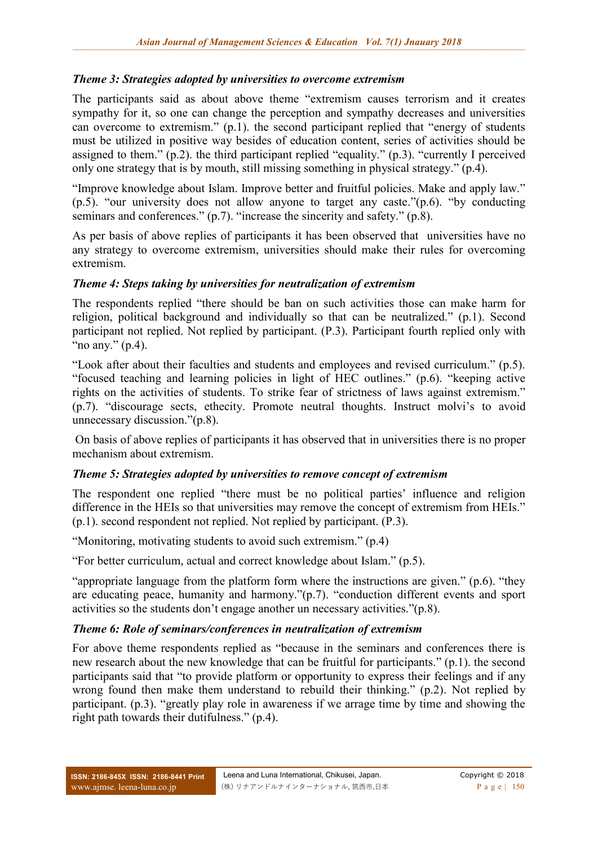## *Theme 3: Strategies adopted by universities to overcome extremism*

The participants said as about above theme "extremism causes terrorism and it creates sympathy for it, so one can change the perception and sympathy decreases and universities can overcome to extremism." (p.1). the second participant replied that "energy of students must be utilized in positive way besides of education content, series of activities should be assigned to them." (p.2). the third participant replied "equality." (p.3). "currently I perceived only one strategy that is by mouth, still missing something in physical strategy." (p.4).

"Improve knowledge about Islam. Improve better and fruitful policies. Make and apply law." (p.5). "our university does not allow anyone to target any caste."(p.6). "by conducting seminars and conferences." (p.7). "increase the sincerity and safety." (p.8).

As per basis of above replies of participants it has been observed that universities have no any strategy to overcome extremism, universities should make their rules for overcoming extremism.

## *Theme 4: Steps taking by universities for neutralization of extremism*

The respondents replied "there should be ban on such activities those can make harm for religion, political background and individually so that can be neutralized." (p.1). Second participant not replied. Not replied by participant. (P.3). Participant fourth replied only with "no any."  $(p.4)$ .

"Look after about their faculties and students and employees and revised curriculum." (p.5). "focused teaching and learning policies in light of HEC outlines." (p.6). "keeping active rights on the activities of students. To strike fear of strictness of laws against extremism." (p.7). "discourage sects, ethecity. Promote neutral thoughts. Instruct molvi's to avoid unnecessary discussion."(p.8).

On basis of above replies of participants it has observed that in universities there is no proper mechanism about extremism.

## *Theme 5: Strategies adopted by universities to remove concept of extremism*

The respondent one replied "there must be no political parties' influence and religion difference in the HEIs so that universities may remove the concept of extremism from HEIs." (p.1). second respondent not replied. Not replied by participant. (P.3).

"Monitoring, motivating students to avoid such extremism." (p.4)

"For better curriculum, actual and correct knowledge about Islam." (p.5).

"appropriate language from the platform form where the instructions are given." (p.6). "they are educating peace, humanity and harmony."(p.7). "conduction different events and sport activities so the students don't engage another un necessary activities."(p.8).

## *Theme 6: Role of seminars/conferences in neutralization of extremism*

For above theme respondents replied as "because in the seminars and conferences there is new research about the new knowledge that can be fruitful for participants." (p.1). the second participants said that "to provide platform or opportunity to express their feelings and if any wrong found then make them understand to rebuild their thinking." (p.2). Not replied by participant. (p.3). "greatly play role in awareness if we arrage time by time and showing the right path towards their dutifulness." (p.4).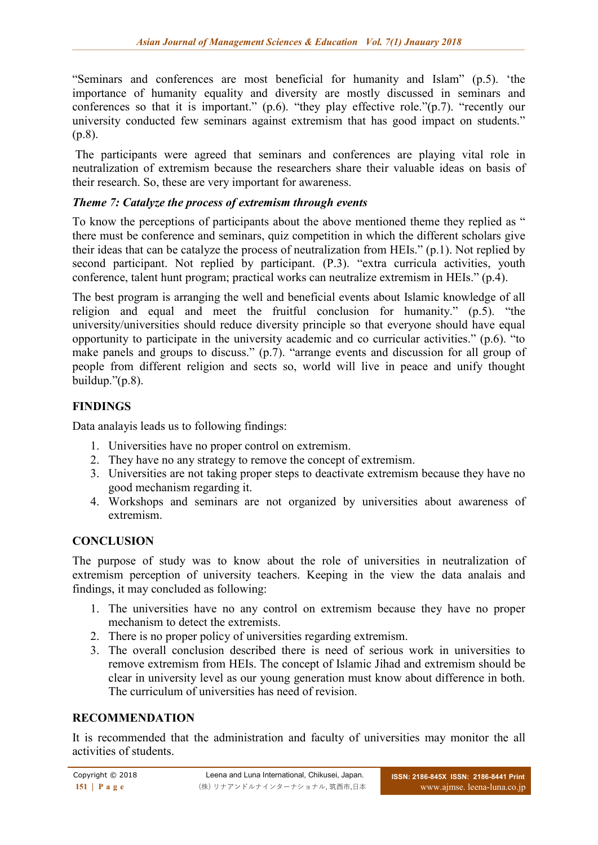"Seminars and conferences are most beneficial for humanity and Islam" (p.5). 'the importance of humanity equality and diversity are mostly discussed in seminars and conferences so that it is important." (p.6). "they play effective role." $(p.7)$ . "recently our university conducted few seminars against extremism that has good impact on students." (p.8).

The participants were agreed that seminars and conferences are playing vital role in neutralization of extremism because the researchers share their valuable ideas on basis of their research. So, these are very important for awareness.

## *Theme 7: Catalyze the process of extremism through events*

To know the perceptions of participants about the above mentioned theme they replied as " there must be conference and seminars, quiz competition in which the different scholars give their ideas that can be catalyze the process of neutralization from HEIs." (p.1). Not replied by second participant. Not replied by participant. (P.3). "extra curricula activities, youth conference, talent hunt program; practical works can neutralize extremism in HEIs." (p.4).

The best program is arranging the well and beneficial events about Islamic knowledge of all religion and equal and meet the fruitful conclusion for humanity." (p.5). "the university/universities should reduce diversity principle so that everyone should have equal opportunity to participate in the university academic and co curricular activities." (p.6). "to make panels and groups to discuss." (p.7). "arrange events and discussion for all group of people from different religion and sects so, world will live in peace and unify thought buildup."(p.8).

## **FINDINGS**

Data analayis leads us to following findings:

- 1. Universities have no proper control on extremism.
- 2. They have no any strategy to remove the concept of extremism.
- 3. Universities are not taking proper steps to deactivate extremism because they have no good mechanism regarding it.
- 4. Workshops and seminars are not organized by universities about awareness of extremism.

## **CONCLUSION**

The purpose of study was to know about the role of universities in neutralization of extremism perception of university teachers. Keeping in the view the data analais and findings, it may concluded as following:

- 1. The universities have no any control on extremism because they have no proper mechanism to detect the extremists.
- 2. There is no proper policy of universities regarding extremism.
- 3. The overall conclusion described there is need of serious work in universities to remove extremism from HEIs. The concept of Islamic Jihad and extremism should be clear in university level as our young generation must know about difference in both. The curriculum of universities has need of revision.

## **RECOMMENDATION**

It is recommended that the administration and faculty of universities may monitor the all activities of students.